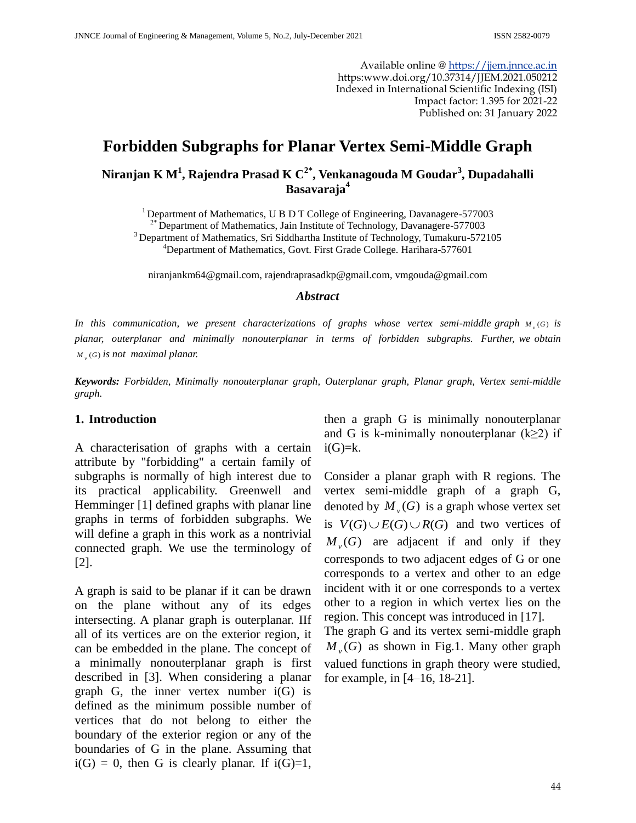Available online @ [https://jjem.jnnce.ac.in](https://jjem.jnnce.ac.in/) https:www.doi.org/10.37314/JJEM.2021.050212 Indexed in International Scientific Indexing (ISI) Impact factor: 1.395 for 2021-22 Published on: 31 January 2022

# **Forbidden Subgraphs for Planar Vertex Semi-Middle Graph**

**Niranjan K M<sup>1</sup> , Rajendra Prasad K C2\*, Venkanagouda M Goudar<sup>3</sup> , Dupadahalli Basavaraja<sup>4</sup>**

<sup>1</sup> Department of Mathematics, U B D T College of Engineering, Davanagere-577003  $2^*$  Department of Mathematics, Jain Institute of Technology, Davanagere-577003 <sup>3</sup> Department of Mathematics, Sri Siddhartha Institute of Technology, Tumakuru-572105 <sup>4</sup>Department of Mathematics, Govt. First Grade College. Harihara-577601

[niranjankm64@gmail.com,](mailto:niranjankm64@gmail.com) [rajendraprasadkp@gmail.com,](mailto:rajendraprasadkp@gmail.com) [vmgouda@gmail.com](mailto:vmgouda@gmail.com)

#### *Abstract*

In this communication, we present characterizations of graphs whose vertex semi-middle graph  $M_{\nu}(G)$  is *planar, outerplanar and minimally nonouterplanar in terms of forbidden subgraphs. Further, we obtain*   $M_{v}(G)$  *is not maximal planar.* 

*Keywords: Forbidden, Minimally nonouterplanar graph, Outerplanar graph, Planar graph, Vertex semi-middle graph.*

#### **1. Introduction**

A characterisation of graphs with a certain attribute by "forbidding" a certain family of subgraphs is normally of high interest due to its practical applicability. Greenwell and Hemminger [1] defined graphs with planar line graphs in terms of forbidden subgraphs. We will define a graph in this work as a nontrivial connected graph. We use the terminology of [2].

A graph is said to be planar if it can be drawn on the plane without any of its edges intersecting. A planar graph is outerplanar. IIf all of its vertices are on the exterior region, it can be embedded in the plane. The concept of a minimally nonouterplanar graph is first described in [3]. When considering a planar graph G, the inner vertex number  $i(G)$  is defined as the minimum possible number of vertices that do not belong to either the boundary of the exterior region or any of the boundaries of G in the plane. Assuming that  $i(G) = 0$ , then G is clearly planar. If  $i(G)=1$ ,

then a graph G is minimally nonouterplanar and G is k-minimally nonouterplanar ( $k \geq 2$ ) if  $i(G)=k$ .

Consider a planar graph with R regions. The vertex semi-middle graph of a graph G, denoted by  $M_{v}(G)$  is a graph whose vertex set is  $V(G) \cup E(G) \cup R(G)$  and two vertices of  $M_{\nu}(G)$  are adjacent if and only if they corresponds to two adjacent edges of G or one corresponds to a vertex and other to an edge incident with it or one corresponds to a vertex other to a region in which vertex lies on the region. This concept was introduced in [17]. The graph G and its vertex semi-middle graph  $M_{\nu}(G)$  as shown in Fig.1. Many other graph

valued functions in graph theory were studied, for example, in [4–16, 18-21].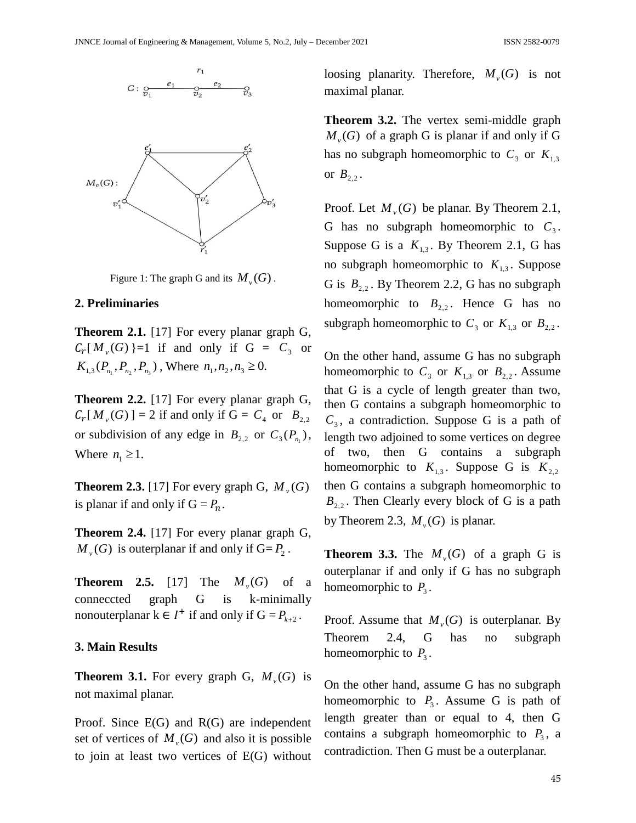

Figure 1: The graph G and its  $M_{\nu}(G)$ .

#### **2. Preliminaries**

**Theorem 2.1.** [17] For every planar graph G,  $C_r[M_{\nu}(G)] = 1$  if and only if  $G = C_3$  or  $K_{1,3}(P_{n_1}, P_{n_2}, P_{n_3})$ , Where  $n_1, n_2, n_3 \ge 0$ .

**Theorem 2.2.** [17] For every planar graph G,  $C_r[M_{\nu}(G)] = 2$  if and only if  $G = C_4$  or  $B_{2,2}$ or subdivision of any edge in  $B_{2,2}$  or  $C_3(P_{n_1})$ , Where  $n_1 \geq 1$ .

**Theorem 2.3.** [17] For every graph G,  $M_v(G)$ is planar if and only if  $G = P_n$ .

**Theorem 2.4.** [17] For every planar graph G,  $M_{\nu}(G)$  is outerplanar if and only if  $G = P_2$ .

**Theorem 2.5.** [17] The  $M_v(G)$  of a conneccted graph G is k-minimally nonouterplanar  $k \in I^+$  if and only if  $G = P_{k+2}$ .

### **3. Main Results**

**Theorem 3.1.** For every graph G,  $M_v(G)$  is not maximal planar.

Proof. Since E(G) and R(G) are independent set of vertices of  $M_{\nu}(G)$  and also it is possible to join at least two vertices of E(G) without

loosing planarity. Therefore,  $M_v(G)$  is not maximal planar.

**Theorem 3.2.** The vertex semi-middle graph  $M_{\nu}(G)$  of a graph G is planar if and only if G has no subgraph homeomorphic to  $C_3$  or  $K_{1,3}$ or  $B_{2,2}$ .

Proof. Let  $M_{\nu}(G)$  be planar. By Theorem 2.1, G has no subgraph homeomorphic to  $C_3$ . Suppose G is a  $K_{1,3}$ . By Theorem 2.1, G has no subgraph homeomorphic to  $K_{1,3}$ . Suppose G is  $B_{2,2}$ . By Theorem 2.2, G has no subgraph homeomorphic to  $B_{2,2}$ . Hence G has no subgraph homeomorphic to  $C_3$  or  $K_{1,3}$  or  $B_{2,2}$ .

On the other hand, assume G has no subgraph homeomorphic to  $C_3$  or  $K_{1,3}$  or  $B_{2,2}$ . Assume that G is a cycle of length greater than two, then G contains a subgraph homeomorphic to  $C_3$ , a contradiction. Suppose G is a path of length two adjoined to some vertices on degree of two, then G contains a subgraph homeomorphic to  $K_{1,3}$ . Suppose G is  $K_{2,2}$ then G contains a subgraph homeomorphic to  $B_{2,2}$ . Then Clearly every block of G is a path by Theorem 2.3,  $M_v(G)$  is planar.

**Theorem 3.3.** The  $M_v(G)$  of a graph G is outerplanar if and only if G has no subgraph homeomorphic to  $P_3$ .

Proof. Assume that  $M_\nu(G)$  is outerplanar. By Theorem 2.4, G has no subgraph homeomorphic to  $P_3$ .

On the other hand, assume G has no subgraph homeomorphic to  $P_3$ . Assume G is path of length greater than or equal to 4, then G contains a subgraph homeomorphic to  $P_3$ , a contradiction. Then G must be a outerplanar.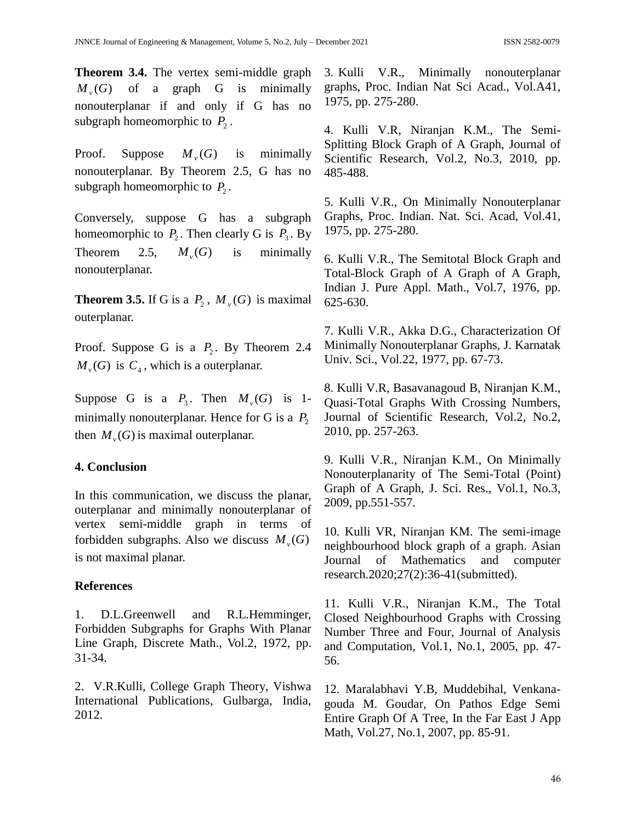**Theorem 3.4.** The vertex semi-middle graph  $M_{\nu}(G)$ of a graph G is minimally nonouterplanar if and only if G has no subgraph homeomorphic to  $P_2$ .

Proof. Suppose  $M_{\nu}(G)$ minimally nonouterplanar. By Theorem 2.5, G has no subgraph homeomorphic to  $P_2$ .

Conversely, suppose G has a subgraph homeomorphic to  $P_2$ . Then clearly G is  $P_3$ . By Theorem 2.5,  $M_{\nu}(G)$ is minimally nonouterplanar.

**Theorem 3.5.** If G is a  $P_2$ ,  $M_v(G)$  is maximal outerplanar.

Proof. Suppose G is a  $P_2$ . By Theorem 2.4  $M_{\nu}(G)$  is  $C_4$ , which is a outerplanar.

Suppose G is a  $P_3$ . Then  $M_v(G)$  is 1minimally nonouterplanar. Hence for G is a  $P_2$ then  $M_{\nu}(G)$  is maximal outerplanar.

## **4. Conclusion**

In this communication, we discuss the planar, outerplanar and minimally nonouterplanar of vertex semi-middle graph in terms of forbidden subgraphs. Also we discuss  $M_{\nu}(G)$ is not maximal planar.

## **References**

1. D.L.Greenwell and R.L.Hemminger, Forbidden Subgraphs for Graphs With Planar Line Graph, Discrete Math., Vol.2, 1972, pp. 31-34.

2. V.R.Kulli, College Graph Theory, Vishwa International Publications, Gulbarga, India, 2012.

3. Kulli V.R., Minimally nonouterplanar graphs, Proc. Indian Nat Sci Acad., Vol.A41, 1975, pp. 275-280.

4. Kulli V.R, Niranjan K.M., The Semi-Splitting Block Graph of A Graph, Journal of Scientific Research, Vol.2, No.3, 2010, pp. 485-488.

5. Kulli V.R., On Minimally Nonouterplanar Graphs, Proc. Indian. Nat. Sci. Acad, Vol.41, 1975, pp. 275-280.

6. Kulli V.R., The Semitotal Block Graph and Total-Block Graph of A Graph of A Graph, Indian J. Pure Appl. Math., Vol.7, 1976, pp. 625-630.

7. Kulli V.R., Akka D.G., Characterization Of Minimally Nonouterplanar Graphs, J. Karnatak Univ. Sci., Vol.22, 1977, pp. 67-73.

8. Kulli V.R, Basavanagoud B, Niranjan K.M., Quasi-Total Graphs With Crossing Numbers, Journal of Scientific Research, Vol.2, No.2, 2010, pp. 257-263.

9. Kulli V.R., Niranjan K.M., On Minimally Nonouterplanarity of The Semi-Total (Point) Graph of A Graph, J. Sci. Res., Vol.1, No.3, 2009, pp.551-557.

10. Kulli VR, Niranjan KM. The semi-image neighbourhood block graph of a graph. Asian Journal of Mathematics and computer research.2020;27(2):36-41(submitted).

11. Kulli V.R., Niranjan K.M., The Total Closed Neighbourhood Graphs with Crossing Number Three and Four, Journal of Analysis and Computation, Vol.1, No.1, 2005, pp. 47- 56.

12. Maralabhavi Y.B, Muddebihal, Venkanagouda M. Goudar, On Pathos Edge Semi Entire Graph Of A Tree, In the Far East J App Math, Vol.27, No.1, 2007, pp. 85-91.